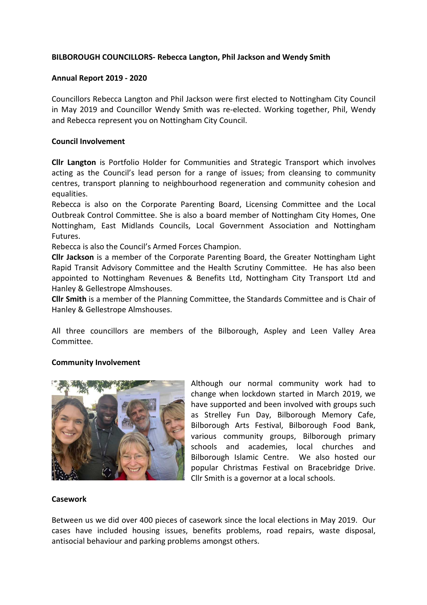# **BILBOROUGH COUNCILLORS- Rebecca Langton, Phil Jackson and Wendy Smith**

### **Annual Report 2019 - 2020**

Councillors Rebecca Langton and Phil Jackson were first elected to Nottingham City Council in May 2019 and Councillor Wendy Smith was re-elected. Working together, Phil, Wendy and Rebecca represent you on Nottingham City Council.

### **Council Involvement**

**Cllr Langton** is Portfolio Holder for Communities and Strategic Transport which involves acting as the Council's lead person for a range of issues; from cleansing to community centres, transport planning to neighbourhood regeneration and community cohesion and equalities.

Rebecca is also on the Corporate Parenting Board, Licensing Committee and the Local Outbreak Control Committee. She is also a board member of Nottingham City Homes, One Nottingham, East Midlands Councils, Local Government Association and Nottingham Futures.

Rebecca is also the Council's Armed Forces Champion.

**Cllr Jackson** is a member of the Corporate Parenting Board, the Greater Nottingham Light Rapid Transit Advisory Committee and the Health Scrutiny Committee. He has also been appointed to Nottingham Revenues & Benefits Ltd, Nottingham City Transport Ltd and Hanley & Gellestrope Almshouses.

**Cllr Smith** is a member of the Planning Committee, the Standards Committee and is Chair of Hanley & Gellestrope Almshouses.

All three councillors are members of the Bilborough, Aspley and Leen Valley Area Committee.

### **Community Involvement**



Although our normal community work had to change when lockdown started in March 2019, we have supported and been involved with groups such as Strelley Fun Day, Bilborough Memory Cafe, Bilborough Arts Festival, Bilborough Food Bank, various community groups, Bilborough primary schools and academies, local churches and Bilborough Islamic Centre. We also hosted our popular Christmas Festival on Bracebridge Drive. Cllr Smith is a governor at a local schools.

#### **Casework**

Between us we did over 400 pieces of casework since the local elections in May 2019. Our cases have included housing issues, benefits problems, road repairs, waste disposal, antisocial behaviour and parking problems amongst others.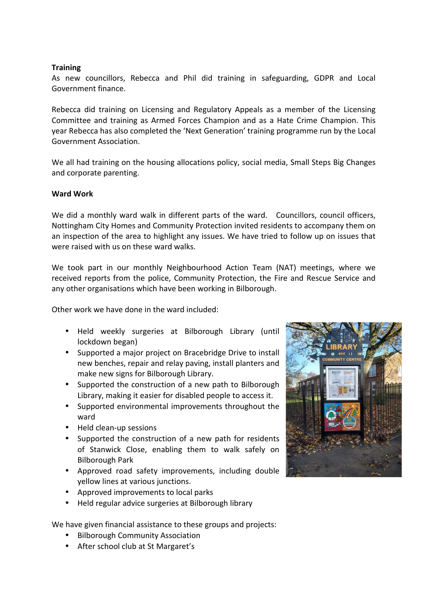## **Training**

As new councillors, Rebecca and Phil did training in safeguarding, GDPR and Local Government finance.

Rebecca did training on Licensing and Regulatory Appeals as a member of the Licensing Committee and training as Armed Forces Champion and as a Hate Crime Champion. This year Rebecca has also completed the 'Next Generation' training programme run by the Local Government Association.

We all had training on the housing allocations policy, social media, Small Steps Big Changes and corporate parenting.

### **Ward Work**

We did a monthly ward walk in different parts of the ward. Councillors, council officers, Nottingham City Homes and Community Protection invited residents to accompany them on an inspection of the area to highlight any issues. We have tried to follow up on issues that were raised with us on these ward walks.

We took part in our monthly Neighbourhood Action Team (NAT) meetings, where we received reports from the police, Community Protection, the Fire and Rescue Service and any other organisations which have been working in Bilborough.

Other work we have done in the ward included:

- Held weekly surgeries at Bilborough Library (until lockdown began)
- Supported a major project on Bracebridge Drive to install new benches, repair and relay paving, install planters and make new signs for Bilborough Library.
- Supported the construction of a new path to Bilborough Library, making it easier for disabled people to access it.
- Supported environmental improvements throughout the ward
- Held clean-up sessions
- Supported the construction of a new path for residents of Stanwick Close, enabling them to walk safely on Bilborough Park
- Approved road safety improvements, including double yellow lines at various junctions.
- Approved improvements to local parks
- Held regular advice surgeries at Bilborough library

We have given financial assistance to these groups and projects:

- Bilborough Community Association
- After school club at St Margaret's